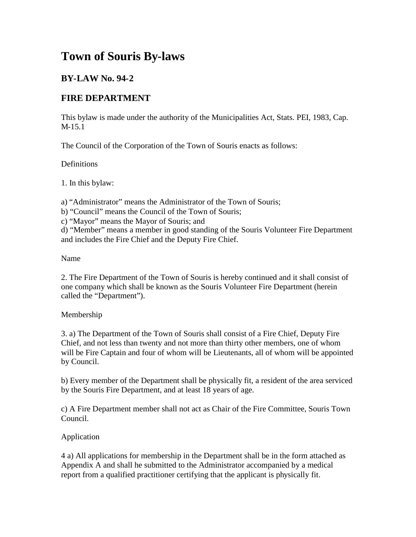# **Town of Souris By-laws**

# **BY-LAW No. 94-2**

# **FIRE DEPARTMENT**

This bylaw is made under the authority of the Municipalities Act, Stats. PEI, 1983, Cap. M-15.1

The Council of the Corporation of the Town of Souris enacts as follows:

### Definitions

1. In this bylaw:

a) "Administrator" means the Administrator of the Town of Souris;

- b) "Council" means the Council of the Town of Souris;
- c) "Mayor" means the Mayor of Souris; and

d) "Member" means a member in good standing of the Souris Volunteer Fire Department and includes the Fire Chief and the Deputy Fire Chief.

### Name

2. The Fire Department of the Town of Souris is hereby continued and it shall consist of one company which shall be known as the Souris Volunteer Fire Department (herein called the "Department").

# Membership

3. a) The Department of the Town of Souris shall consist of a Fire Chief, Deputy Fire Chief, and not less than twenty and not more than thirty other members, one of whom will be Fire Captain and four of whom will be Lieutenants, all of whom will be appointed by Council.

b) Every member of the Department shall be physically fit, a resident of the area serviced by the Souris Fire Department, and at least 18 years of age.

c) A Fire Department member shall not act as Chair of the Fire Committee, Souris Town Council.

# Application

4 a) All applications for membership in the Department shall be in the form attached as Appendix A and shall he submitted to the Administrator accompanied by a medical report from a qualified practitioner certifying that the applicant is physically fit.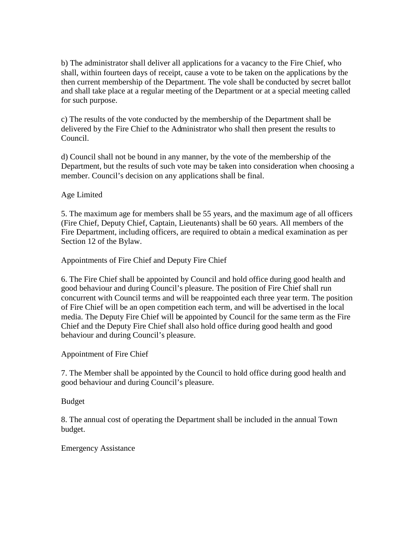b) The administrator shall deliver all applications for a vacancy to the Fire Chief, who shall, within fourteen days of receipt, cause a vote to be taken on the applications by the then current membership of the Department. The vole shall be conducted by secret ballot and shall take place at a regular meeting of the Department or at a special meeting called for such purpose.

c) The results of the vote conducted by the membership of the Department shall be delivered by the Fire Chief to the Administrator who shall then present the results to Council.

d) Council shall not be bound in any manner, by the vote of the membership of the Department, but the results of such vote may be taken into consideration when choosing a member. Council's decision on any applications shall be final.

Age Limited

5. The maximum age for members shall be 55 years, and the maximum age of all officers (Fire Chief, Deputy Chief, Captain, Lieutenants) shall be 60 years. All members of the Fire Department, including officers, are required to obtain a medical examination as per Section 12 of the Bylaw.

Appointments of Fire Chief and Deputy Fire Chief

6. The Fire Chief shall be appointed by Council and hold office during good health and good behaviour and during Council's pleasure. The position of Fire Chief shall run concurrent with Council terms and will be reappointed each three year term. The position of Fire Chief will be an open competition each term, and will be advertised in the local media. The Deputy Fire Chief will be appointed by Council for the same term as the Fire Chief and the Deputy Fire Chief shall also hold office during good health and good behaviour and during Council's pleasure.

Appointment of Fire Chief

7. The Member shall be appointed by the Council to hold office during good health and good behaviour and during Council's pleasure.

Budget

8. The annual cost of operating the Department shall be included in the annual Town budget.

Emergency Assistance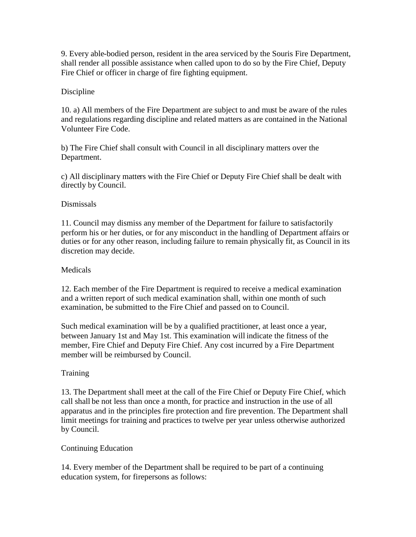9. Every able-bodied person, resident in the area serviced by the Souris Fire Department, shall render all possible assistance when called upon to do so by the Fire Chief, Deputy Fire Chief or officer in charge of fire fighting equipment.

#### Discipline

10. a) All members of the Fire Department are subject to and must be aware of the rules and regulations regarding discipline and related matters as are contained in the National Volunteer Fire Code.

b) The Fire Chief shall consult with Council in all disciplinary matters over the Department.

c) All disciplinary matters with the Fire Chief or Deputy Fire Chief shall be dealt with directly by Council.

#### Dismissals

11. Council may dismiss any member of the Department for failure to satisfactorily perform his or her duties, or for any misconduct in the handling of Department affairs or duties or for any other reason, including failure to remain physically fit, as Council in its discretion may decide.

#### **Medicals**

12. Each member of the Fire Department is required to receive a medical examination and a written report of such medical examination shall, within one month of such examination, be submitted to the Fire Chief and passed on to Council.

Such medical examination will be by a qualified practitioner, at least once a year, between January 1st and May 1st. This examination will indicate the fitness of the member, Fire Chief and Deputy Fire Chief. Any cost incurred by a Fire Department member will be reimbursed by Council.

#### **Training**

13. The Department shall meet at the call of the Fire Chief or Deputy Fire Chief, which call shall be not less than once a month, for practice and instruction in the use of all apparatus and in the principles fire protection and fire prevention. The Department shall limit meetings for training and practices to twelve per year unless otherwise authorized by Council.

#### Continuing Education

14. Every member of the Department shall be required to be part of a continuing education system, for firepersons as follows: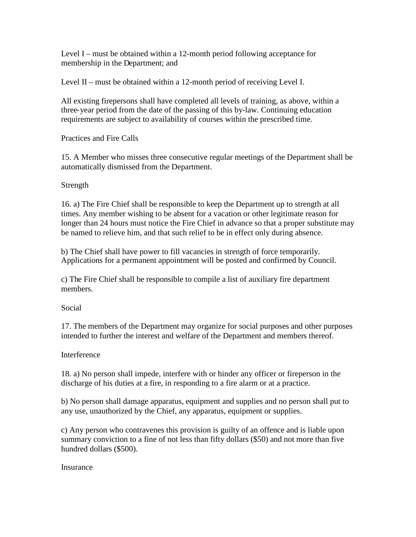Level I – must be obtained within a 12-month period following acceptance for membership in the Department; and

Level II – must be obtained within a 12-month period of receiving Level I.

All existing firepersons shall have completed all levels of training, as above, within a three-year period from the date of the passing of this by-law. Continuing education requirements are subject to availability of courses within the prescribed time.

Practices and Fire Calls

15. A Member who misses three consecutive regular meetings of the Department shall be automatically dismissed from the Department.

#### Strength

16. a) The Fire Chief shall be responsible to keep the Department up to strength at all times. Any member wishing to be absent for a vacation or other legitimate reason for longer than 24 hours must notice the Fire Chief in advance so that a proper substitute may be named to relieve him, and that such relief to be in effect only during absence.

b) The Chief shall have power to fill vacancies in strength of force temporarily. Applications for a permanent appointment will be posted and confirmed by Council.

c) The Fire Chief shall be responsible to compile a list of auxiliary fire department members.

Social

17. The members of the Department may organize for social purposes and other purposes intended to further the interest and welfare of the Department and members thereof.

#### **Interference**

18. a) No person shall impede, interfere with or hinder any officer or fireperson in the discharge of his duties at a fire, in responding to a fire alarm or at a practice.

b) No person shall damage apparatus, equipment and supplies and no person shall put to any use, unauthorized by the Chief, any apparatus, equipment or supplies.

c) Any person who contravenes this provision is guilty of an offence and is liable upon summary conviction to a fine of not less than fifty dollars (\$50) and not more than five hundred dollars (\$500).

**Insurance**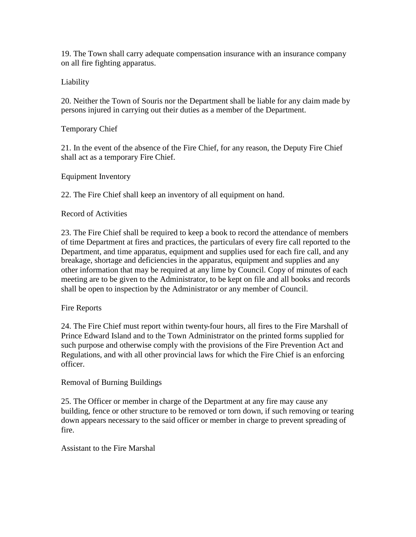19. The Town shall carry adequate compensation insurance with an insurance company on all fire fighting apparatus.

Liability

20. Neither the Town of Souris nor the Department shall be liable for any claim made by persons injured in carrying out their duties as a member of the Department.

Temporary Chief

21. In the event of the absence of the Fire Chief, for any reason, the Deputy Fire Chief shall act as a temporary Fire Chief.

Equipment Inventory

22. The Fire Chief shall keep an inventory of all equipment on hand.

Record of Activities

23. The Fire Chief shall be required to keep a book to record the attendance of members of time Department at fires and practices, the particulars of every fire call reported to the Department, and time apparatus, equipment and supplies used for each fire call, and any breakage, shortage and deficiencies in the apparatus, equipment and supplies and any other information that may be required at any lime by Council. Copy of minutes of each meeting are to be given to the Administrator, to be kept on file and all books and records shall be open to inspection by the Administrator or any member of Council.

Fire Reports

24. The Fire Chief must report within twenty-four hours, all fires to the Fire Marshall of Prince Edward Island and to the Town Administrator on the printed forms supplied for such purpose and otherwise comply with the provisions of the Fire Prevention Act and Regulations, and with all other provincial laws for which the Fire Chief is an enforcing officer.

Removal of Burning Buildings

25. The Officer or member in charge of the Department at any fire may cause any building, fence or other structure to be removed or torn down, if such removing or tearing down appears necessary to the said officer or member in charge to prevent spreading of fire.

Assistant to the Fire Marshal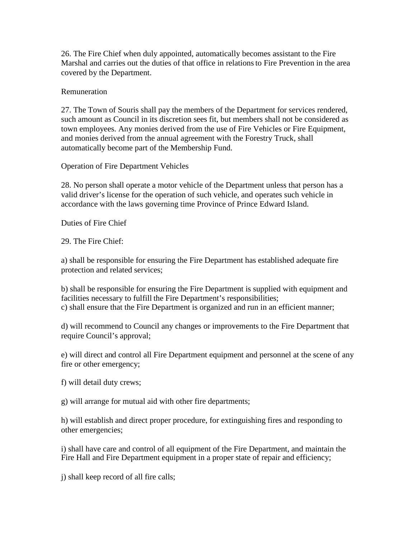26. The Fire Chief when duly appointed, automatically becomes assistant to the Fire Marshal and carries out the duties of that office in relationsto Fire Prevention in the area covered by the Department.

#### Remuneration

27. The Town of Souris shall pay the members of the Department for services rendered, such amount as Council in its discretion sees fit, but members shall not be considered as town employees. Any monies derived from the use of Fire Vehicles or Fire Equipment, and monies derived from the annual agreement with the Forestry Truck, shall automatically become part of the Membership Fund.

Operation of Fire Department Vehicles

28. No person shall operate a motor vehicle of the Department unless that person has a valid driver's license for the operation of such vehicle, and operates such vehicle in accordance with the laws governing time Province of Prince Edward Island.

Duties of Fire Chief

29. The Fire Chief:

a) shall be responsible for ensuring the Fire Department has established adequate fire protection and related services;

b) shall be responsible for ensuring the Fire Department is supplied with equipment and facilities necessary to fulfill the Fire Department's responsibilities; c) shall ensure that the Fire Department is organized and run in an efficient manner;

d) will recommend to Council any changes or improvements to the Fire Department that require Council's approval;

e) will direct and control all Fire Department equipment and personnel at the scene of any fire or other emergency;

f) will detail duty crews;

g) will arrange for mutual aid with other fire departments;

h) will establish and direct proper procedure, for extinguishing fires and responding to other emergencies;

i) shall have care and control of all equipment of the Fire Department, and maintain the Fire Hall and Fire Department equipment in a proper state of repair and efficiency;

j) shall keep record of all fire calls;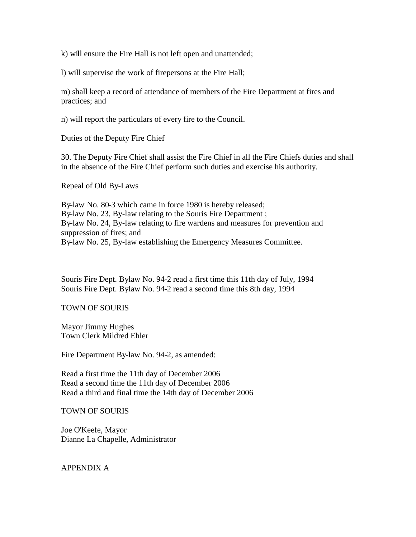k) will ensure the Fire Hall is not left open and unattended;

l) will supervise the work of firepersons at the Fire Hall;

m) shall keep a record of attendance of members of the Fire Department at fires and practices; and

n) will report the particulars of every fire to the Council.

Duties of the Deputy Fire Chief

30. The Deputy Fire Chief shall assist the Fire Chief in all the Fire Chiefs duties and shall in the absence of the Fire Chief perform such duties and exercise his authority.

Repeal of Old By-Laws

By-law No. 80-3 which came in force 1980 is hereby released; By-law No. 23, By-law relating to the Souris Fire Department ; By-law No. 24, By-law relating to fire wardens and measures for prevention and suppression of fires; and By-law No. 25, By-law establishing the Emergency Measures Committee.

Souris Fire Dept. Bylaw No. 94-2 read a first time this 11th day of July, 1994 Souris Fire Dept. Bylaw No. 94-2 read a second time this 8th day, 1994

#### TOWN OF SOURIS

Mayor Jimmy Hughes Town Clerk Mildred Ehler

Fire Department By-law No. 94-2, as amended:

Read a first time the 11th day of December 2006 Read a second time the 11th day of December 2006 Read a third and final time the 14th day of December 2006

TOWN OF SOURIS

Joe O'Keefe, Mayor Dianne La Chapelle, Administrator

APPENDIX A